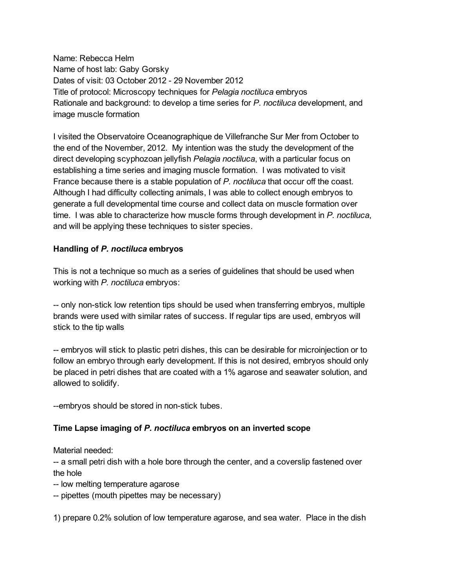Name: Rebecca Helm Name of host lab: Gaby Gorsky Dates of visit: 03 October 2012 - 29 November 2012 Title of protocol: Microscopy techniques for *Pelagia noctiluca* embryos Rationale and background: to develop a time series for *P. noctiluca* development, and image muscle formation

I visited the Observatoire Oceanographique de Villefranche Sur Mer from October to the end of the November, 2012. My intention was the study the development of the direct developing scyphozoan jellyfish *Pelagia noctiluca*, with a particular focus on establishing a time series and imaging muscle formation. I was motivated to visit France because there is a stable population of *P. noctiluca* that occur off the coast. Although I had difficulty collecting animals, I was able to collect enough embryos to generate a full developmental time course and collect data on muscle formation over time. I was able to characterize how muscle forms through development in *P. noctiluca*, and will be applying these techniques to sister species.

## **Handling of** *P. noctiluca* **embryos**

This is not a technique so much as a series of guidelines that should be used when working with *P. noctiluca* embryos:

-- only non-stick low retention tips should be used when transferring embryos, multiple brands were used with similar rates of success. If regular tips are used, embryos will stick to the tip walls

 embryos will stick to plastic petri dishes, this can be desirable for microinjection or to follow an embryo through early development. If this is not desired, embryos should only be placed in petri dishes that are coated with a 1% agarose and seawater solution, and allowed to solidify.

--embryos should be stored in non-stick tubes.

## **Time Lapse imaging of** *P. noctiluca* **embryos on an inverted scope**

Material needed:

-- a small petri dish with a hole bore through the center, and a coverslip fastened over the hole

- -- low melting temperature agarose
- -- pipettes (mouth pipettes may be necessary)

1) prepare 0.2% solution of low temperature agarose, and sea water. Place in the dish